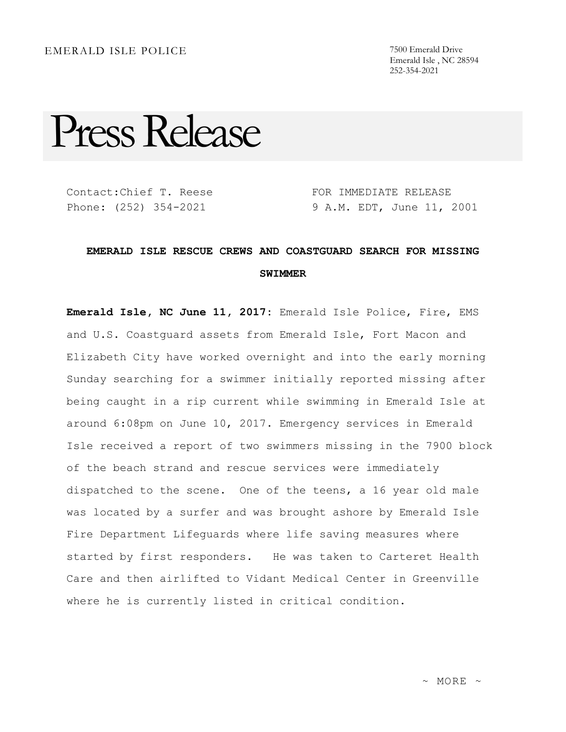## EMERALD ISLE POLICE 7500 Emerald Drive

Emerald Isle , NC 28594 252-354-2021

## Press Release

Contact:Chief T. Reese Phone: (252) 354-2021

FOR IMMEDIATE RELEASE 9 A.M. EDT, June 11, 2001

## **EMERALD ISLE RESCUE CREWS AND COASTGUARD SEARCH FOR MISSING SWIMMER**

**Emerald Isle, NC June 11, 2017:** Emerald Isle Police, Fire, EMS and U.S. Coastguard assets from Emerald Isle, Fort Macon and Elizabeth City have worked overnight and into the early morning Sunday searching for a swimmer initially reported missing after being caught in a rip current while swimming in Emerald Isle at around 6:08pm on June 10, 2017. Emergency services in Emerald Isle received a report of two swimmers missing in the 7900 block of the beach strand and rescue services were immediately dispatched to the scene. One of the teens, a 16 year old male was located by a surfer and was brought ashore by Emerald Isle Fire Department Lifeguards where life saving measures where started by first responders. He was taken to Carteret Health Care and then airlifted to Vidant Medical Center in Greenville where he is currently listed in critical condition.